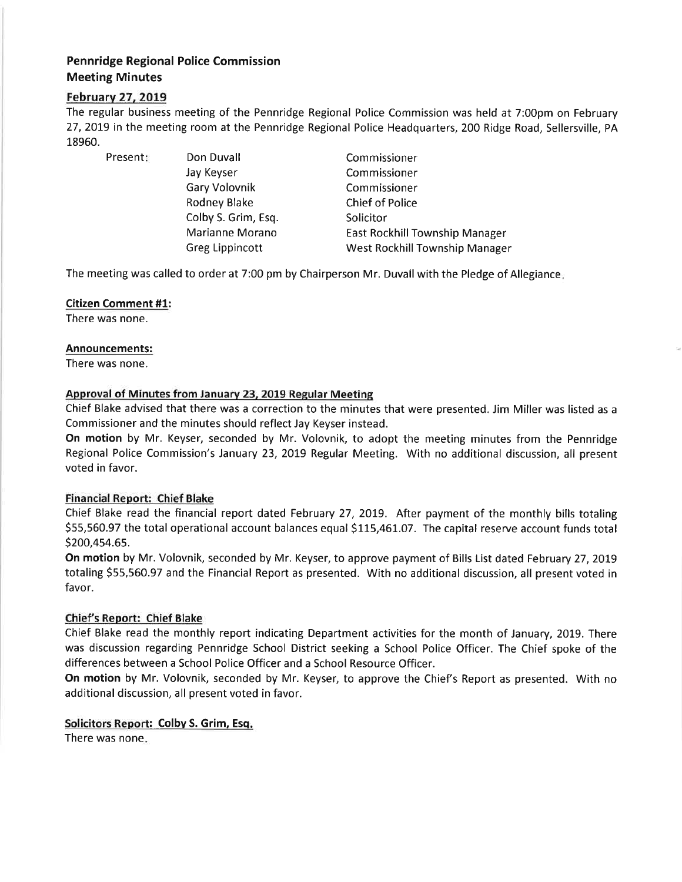# Pennridge Regional Police Commission Meeting Minutes

## Februarv 27. 2019

The regular business meeting of the Pennridge Regional Police Commission was held at 7:00pm on February 27,2019 in the meeting room at the Pennridge Regional Police Headquarters, 200 Ridge Road, Sellersville, PA 18960.

Present: Don Duvall

Jay Keyser Gary Volovnik Rodney Blake Colby S. Grim, Esq. Marianne Morano Greg Lippincott

Commissioner Commissioner Commissioner Chief of Police Solicitor East Rockhill Township Manager West Rockhill Township Manager

The meeting was called to order at 7:00 pm by Chairperson Mr. Duvall with the Pledge of Allegiance.

#### Citizen Comment #1:

There was none.

#### Announcements:

There was none.

### Approval of Minutes from January 23, 2019 Regular Meeting

Chief Blake advised that there was a correction to the minutes that were presented. Jim Miller was listed as <sup>a</sup> Commissioner and the minutes should reflect Jay Keyser instead.

On motion by Mr. Keyser, seconded by Mr. Volovnik, to adopt the meeting minutes from the Pennridge Regional Police Commission's January 23, 2019 Regular Meeting. With no additional discussion, all present voted in favor.

### Financial Report: Chief Blake

Chief Blake read the financial report dated February 27,2019. After payment of the monthly bills totaling \$55,560.97 the total operational account balances equal \$115,461.07. The capital reserve account funds total s200,454.65.

On motion by Mr. Volovnik, seconded by Mr. Keyser, to approve payment of Bills List dated February 27,20L9 totaling \$55,560.97 and the Financial Report as presented. With no additional discussion, all present voted in favor.

### Chief's Report: Chief Blake

Chief Blake read the monthly report indicating Department activities for the month of January, 20L9. There was discussion regarding Pennridge School District seeking a School Police Officer. The Chief spoke of the differences between a School Police Officer and a School Resource Officer.

On motion by Mr. Volovnik, seconded by Mr. Keyser, to approve the Chief's Report as presented. With no additional discussion, all present voted in favor.

### Solicitors Report: Colby S. Grim, Esq.

There was none